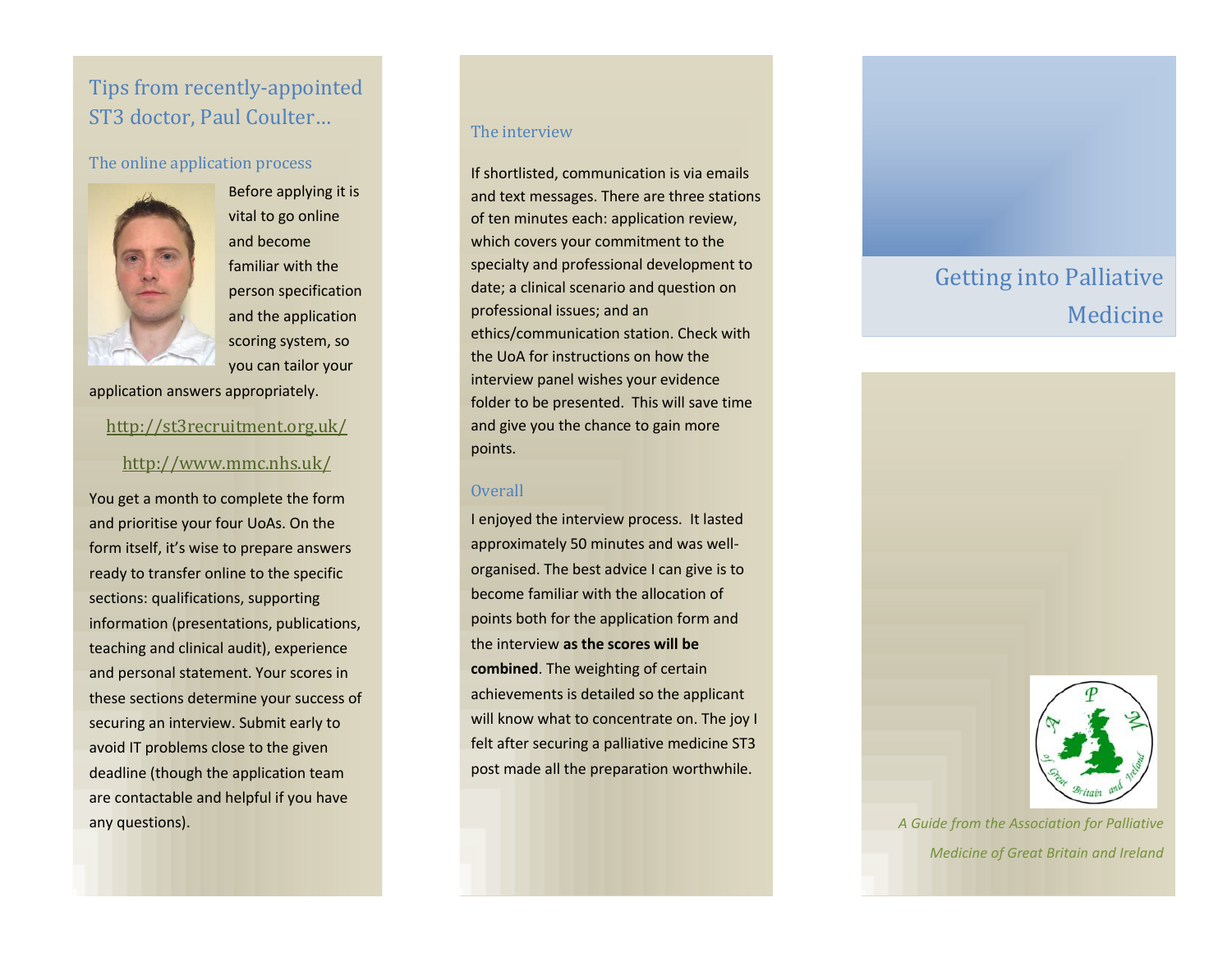# Tips from recently-appointed ST3 doctor, Paul Coulter…

### The online application process



Before applying it is vital to go online and become familiar with the person specification and the application scoring system, so you can tailor your

application answers appropriately.

### <http://st3recruitment.org.uk/>

### <http://www.mmc.nhs.uk/>

You get a month to complete the form and prioritise your four UoAs. On the form itself, it's wise to prepare answers ready to transfer online to the specific sections: qualifications, supporting information (presentations, publications, teaching and clinical audit), experience and personal statement. Your scores in these sections determine your success of securing an interview. Submit early to avoid IT problems close to the given deadline (though the application team are contactable and helpful if you have any questions). *A Guide from the Association for Palliative* 

#### The interview

If shortlisted, communication is via emails and text messages. There are three stations of ten minutes each: application review, which covers your commitment to the specialty and professional development to date; a clinical scenario and question on professional issues; and an ethics/communication station. Check with the UoA for instructions on how the interview panel wishes your evidence folder to be presented. This will save time and give you the chance to gain more points.

### **Overall**

I enjoyed the interview process. It lasted approximately 50 minutes and was wellorganised. The best advice I can give is to become familiar with the allocation of points both for the application form and the interview **as the scores will be combined**. The weighting of certain achievements is detailed so the applicant will know what to concentrate on. The joy I felt after securing a palliative medicine ST3 post made all the preparation worthwhile.

# Getting into Palliative Medicine



*Medicine of Great Britain and Ireland*